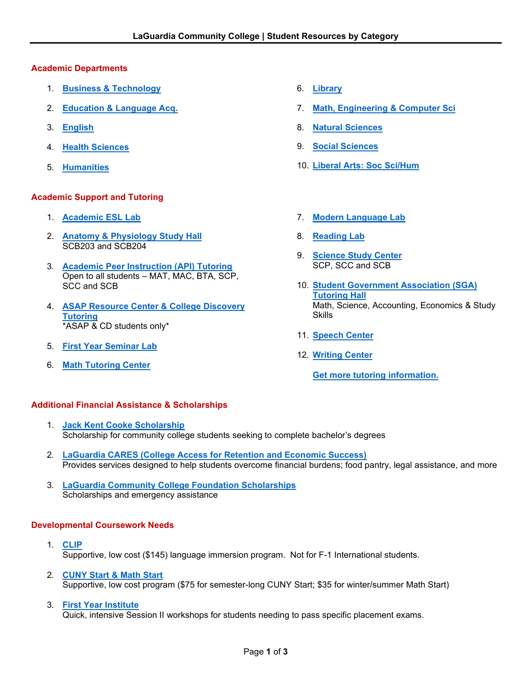### **Academic Departments**

- 1. **[Business & Technology](https://www.laguardia.edu/bt/)**
- 2. **[Education & Language](http://www.laguardia.edu/ela/) Acq.**
- 3. **[English](https://www.laguardia.edu/English/Home/)**
- 4. **[Health Sciences](https://www.laguardia.edu/Healthsciences/)**
- 5. **[Humanities](https://www.laguardia.edu/Humanities/)**

# **Academic Support and Tutoring**

- 1. **[Academic ESL Lab](http://www.laguardia.edu/ela/academic-esl-lab/)**
- 2. **[Anatomy & Physiology Study Hall](https://www.laguardia.edu/Tutoring/)** SCB203 and SCB204
- 3. **[Academic Peer Instruction \(API\)](https://www.laguardia.edu/api/) Tutoring** Open to all students – MAT, MAC, BTA, SCP, SCC and SCB
- 4. **ASAP [Resource Center & College Discovery](https://www.laguardia.edu/ASAP/) [Tutoring](https://www.laguardia.edu/ASAP/)** \*ASAP & CD students only\*
- 5. **[First Year Seminar Lab](https://www.laguardia.edu/ssm/fys-lab/)**
- 6. **[Math Tutoring Center](https://www.laguardia.edu/MEC/Student-Resources/Tutoring/)**
- 6. **[Library](https://www.laguardia.edu/Academics/Dept-Library/)**
- 7. **[Math, Engineering](https://www.laguardia.edu/MEC/Home/) & Computer Sci**
- 8. **[Natural Sciences](https://www.laguardia.edu/ns/)**
- 9. **[Social Sciences](https://www.laguardia.edu/socialscience/)**
- 10. **[Liberal Arts: Soc](https://www.laguardia.edu/ssh/) Sci/Hum**
- 7. **[Modern Language Lab](https://www.laguardia.edu/ela/ml-lab-and-placement/)**
- 8. **[Reading Lab](https://www.laguardia.edu/ela/Reading-Lab/)**
- 9. **[Science Study Center](https://www.laguardia.edu/Tutoring/)** SCP, SCC and SCB
- 10. **[Student Government Association \(SGA\)](https://www.laguardia.edu/Student-Services/Campus-Life/SGA-Tutoring-Lab/) [Tutoring](https://www.laguardia.edu/Student-Services/Campus-Life/SGA-Tutoring-Lab/) Hall** Math, Science, Accounting, Economics & Study Skills
- 11. **[Speech Center](https://www.laguardia.edu/speech/home/)**
- 12. **[Writing Center](https://www.laguardia.edu/writingcenter/)**

**Get [more tutoring information.](https://www.laguardia.edu/Tutoring/)**

# **Additional Financial Assistance & Scholarships**

- 1. **[Jack Kent Cooke Scholarship](http://www.laguardia.edu/honors)** Scholarship for community college students seeking to complete bachelor's degrees
- 2. **[LaGuardia CARES \(College Access for Retention and Economic Success\)](http://www.laguardia.edu/CARES)** Provides services designed to help students overcome financial burdens; food pantry, legal assistance, and more
- 3. **[LaGuardia Community College Foundation Scholarships](http://www.laguardia.edu/scholarships)** Scholarships and emergency assistance

# **Developmental Coursework Needs**

- 1. **[CLIP](https://www.laguardia.edu/ce/pages/english-language-learning/cuny-language-immersion-program/)** Supportive, low cost (\$145) language immersion program. Not for F-1 International students.
- 2. **[CUNY Start & Math Start](https://www.laguardia.edu/cunystart/)** Supportive, low cost program (\$75 for semester-long CUNY Start; \$35 for winter/summer Math Start)

#### 3. **[First Year Institute](https://www.laguardia.edu/Academics/First-Year-Institute/)**

Quick, intensive Session II workshops for students needing to pass specific placement exams.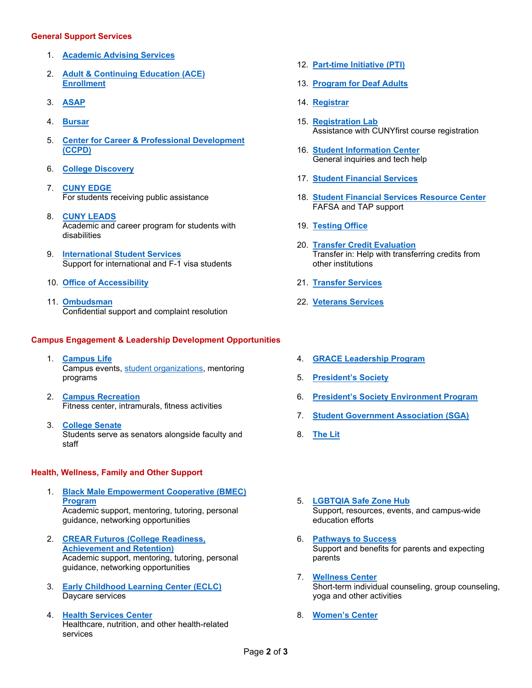#### **General Support Services**

- 1. **[Academic Advising Services](https://www.laguardia.edu/advising/)**
- 2. **[Adult & Continuing Education \(ACE\)](https://www.laguardia.edu/enrollment-management-services/) [Enrollment](https://www.laguardia.edu/enrollment-management-services/)**
- 3. **[ASAP](https://www.laguardia.edu/asap/)**
- 4. **[Bursar](https://www.laguardia.edu/Bursars/Staff/)**
- 5. **Center for Career & [Professional Development](https://www.laguardia.edu/careerservices/) [\(CCPD\)](https://www.laguardia.edu/careerservices/)**
- 6. **[College Discovery](https://www.laguardia.edu/Academics/College-Discovery/)**
- 7. **CUNY [EDGE](https://www.laguardia.edu/Academics/CUNY-EDGE/)** For students receiving public assistance
- 8. **CUNY [LEADS](https://www.laguardia.edu/careerservices/)** Academic and career program for students with disabilities
- 9. **[International](https://www.laguardia.edu/Student-Services/International-Student/International-Students/) Student Services** Support for international and F-1 visa students
- 10. **Office of [Accessibility](https://www.laguardia.edu/osd/)**
- 11. **[Ombudsman](https://www.laguardia.edu/Student-Services/Ombuds/)** Confidential support and complaint resolution

#### **Campus Engagement & Leadership Development Opportunities**

- 1. **[Campus Life](https://www.laguardia.edu/campuslife/)** Campus events, [student organizations,](http://www.laguardia.edu/student-clubs) mentoring programs
- 2. **[Campus Recreation](https://www.laguardia.edu/recreation/)** Fitness center, intramurals, fitness activities
- 3. **[College Senate](https://www.laguardia.edu/senate)** Students serve as senators alongside faculty and staff

#### **Health, Wellness, Family and Other Support**

- 1. **[Black Male Empowerment Cooperative \(BMEC\)](http://www.laguardia.edu/multiculturalexchange) [Program](http://www.laguardia.edu/multiculturalexchange)** Academic support, mentoring, tutoring, personal guidance, networking opportunities
- 2. **[CREAR Futuros \(College Readiness,](http://www.laguardia.edu/multiculturalexchange) [Achievement and Retention\)](http://www.laguardia.edu/multiculturalexchange)** Academic support, mentoring, tutoring, personal guidance, networking opportunities
- 3. **[Early Childhood Learning Center](http://www.laguardia.edu/ECLC) (ECLC)** Daycare services
- 4. **[Health Services Center](http://www.laguardia.edu/healthservices)** Healthcare, nutrition, and other health-related services
- 12. **[Part-time Initiative \(PTI\)](https://www.laguardia.edu/Special-Programs/)**
- 13. **[Program for Deaf Adults](https://www.laguardia.edu/Academics/Program-for-Deaf-Adults/)**
- 14. **[Registrar](https://www.laguardia.edu/Registrar/)**
- 15. **[Registration Lab](https://www.laguardia.edu/Registrar/)** Assistance with CUNYfirst course registration
- 16. **[Student Information Center](https://www.laguardia.edu/Current-Students/Welcome-Center/)** General inquiries and tech help
- 17. **[Student Financial Services](https://www.laguardia.edu/Financial-Aid/Welcome/)**
- 18. **[Student Financial Services Resource Center](https://www.laguardia.edu/Financial-Aid/Types-of-Aid/)** FAFSA and TAP support
- 19. **[Testing Office](https://www.laguardia.edu/Divisions/SA/Testing-Department/FAQ/)**
- 20. **[Transfer Credit Evaluation](https://www.laguardia.edu/Admissions/Office-of-Transfer-Credit-Evaluation/)** Transfer in: Help with transferring credits from other institutions
- 21. **[Transfer Services](https://www.laguardia.edu/transferservices/)**
- 22. **[Veterans Services](https://www.laguardia.edu/veteranservices/)**
- 4. **[GRACE Leadership Program](https://www.laguardia.edu/Student-Services/Women-s-Center/)**
- 5. **[President's Society](http://www.laguardia.edu/presidentsociety)**
- 6. **President's Society [Environment Program](http://www.laguardia.edu/honors-internship)**
- 7. **[Student Government Association \(SGA\)](http://www.laguardia.edu/SGA)**
- 8. **[The Lit](http://www.laguardia.edu/English/The-Lit)**
- 5. **[LGBTQIA Safe Zone Hub](http://www.laguardia.edu/safezonehub)** Support, resources, events, and campus-wide education efforts
- 6. **[Pathways to Success](http://www.laguardia.edu/pathwaystosuccess)** Support and benefits for parents and expecting parents
- 7. **[Wellness Center](http://www.laguardia.edu/wellnesscenter)** Short-term individual counseling, group counseling, yoga and other activities
- 8. **[Women's Center](http://www.laguardia.edu/womenscenter)**